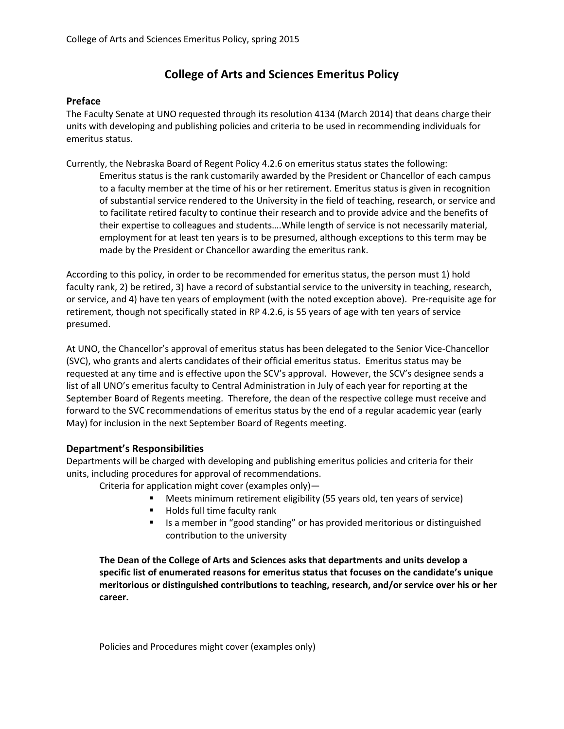## **College of Arts and Sciences Emeritus Policy**

## **Preface**

The Faculty Senate at UNO requested through its resolution 4134 (March 2014) that deans charge their units with developing and publishing policies and criteria to be used in recommending individuals for emeritus status.

Currently, the Nebraska Board of Regent Policy 4.2.6 on emeritus status states the following: Emeritus status is the rank customarily awarded by the President or Chancellor of each campus to a faculty member at the time of his or her retirement. Emeritus status is given in recognition of substantial service rendered to the University in the field of teaching, research, or service and to facilitate retired faculty to continue their research and to provide advice and the benefits of their expertise to colleagues and students….While length of service is not necessarily material, employment for at least ten years is to be presumed, although exceptions to this term may be made by the President or Chancellor awarding the emeritus rank.

According to this policy, in order to be recommended for emeritus status, the person must 1) hold faculty rank, 2) be retired, 3) have a record of substantial service to the university in teaching, research, or service, and 4) have ten years of employment (with the noted exception above). Pre-requisite age for retirement, though not specifically stated in RP 4.2.6, is 55 years of age with ten years of service presumed.

At UNO, the Chancellor's approval of emeritus status has been delegated to the Senior Vice-Chancellor (SVC), who grants and alerts candidates of their official emeritus status. Emeritus status may be requested at any time and is effective upon the SCV's approval. However, the SCV's designee sends a list of all UNO's emeritus faculty to Central Administration in July of each year for reporting at the September Board of Regents meeting. Therefore, the dean of the respective college must receive and forward to the SVC recommendations of emeritus status by the end of a regular academic year (early May) for inclusion in the next September Board of Regents meeting.

## **Department's Responsibilities**

Departments will be charged with developing and publishing emeritus policies and criteria for their units, including procedures for approval of recommendations.

Criteria for application might cover (examples only)—

- Meets minimum retirement eligibility (55 years old, ten years of service)
- Holds full time faculty rank
- Is a member in "good standing" or has provided meritorious or distinguished contribution to the university

**The Dean of the College of Arts and Sciences asks that departments and units develop a specific list of enumerated reasons for emeritus status that focuses on the candidate's unique meritorious or distinguished contributions to teaching, research, and/or service over his or her career.**